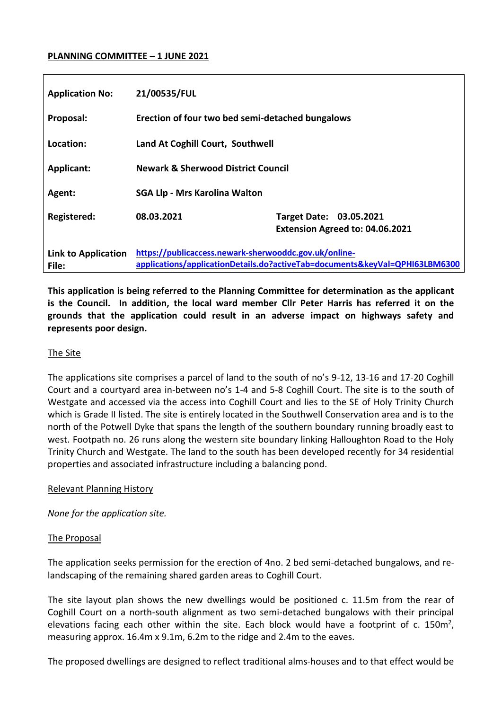#### **PLANNING COMMITTEE – 1 JUNE 2021**

| <b>Application No:</b>              | 21/00535/FUL                                                                                                                         |                                                            |
|-------------------------------------|--------------------------------------------------------------------------------------------------------------------------------------|------------------------------------------------------------|
| Proposal:                           | Erection of four two bed semi-detached bungalows                                                                                     |                                                            |
| Location:                           | Land At Coghill Court, Southwell                                                                                                     |                                                            |
| <b>Applicant:</b>                   | <b>Newark &amp; Sherwood District Council</b>                                                                                        |                                                            |
| Agent:                              | <b>SGA Llp - Mrs Karolina Walton</b>                                                                                                 |                                                            |
| <b>Registered:</b>                  | 08.03.2021                                                                                                                           | Target Date: 03.05.2021<br>Extension Agreed to: 04.06.2021 |
| <b>Link to Application</b><br>File: | https://publicaccess.newark-sherwooddc.gov.uk/online-<br>applications/applicationDetails.do?activeTab=documents&keyVal=QPHI63LBM6300 |                                                            |

**This application is being referred to the Planning Committee for determination as the applicant is the Council. In addition, the local ward member Cllr Peter Harris has referred it on the grounds that the application could result in an adverse impact on highways safety and represents poor design.** 

#### The Site

The applications site comprises a parcel of land to the south of no's 9-12, 13-16 and 17-20 Coghill Court and a courtyard area in-between no's 1-4 and 5-8 Coghill Court. The site is to the south of Westgate and accessed via the access into Coghill Court and lies to the SE of Holy Trinity Church which is Grade II listed. The site is entirely located in the Southwell Conservation area and is to the north of the Potwell Dyke that spans the length of the southern boundary running broadly east to west. Footpath no. 26 runs along the western site boundary linking Halloughton Road to the Holy Trinity Church and Westgate. The land to the south has been developed recently for 34 residential properties and associated infrastructure including a balancing pond.

#### Relevant Planning History

*None for the application site.* 

#### The Proposal

The application seeks permission for the erection of 4no. 2 bed semi-detached bungalows, and relandscaping of the remaining shared garden areas to Coghill Court.

The site layout plan shows the new dwellings would be positioned c. 11.5m from the rear of Coghill Court on a north-south alignment as two semi-detached bungalows with their principal elevations facing each other within the site. Each block would have a footprint of c. 150m<sup>2</sup>, measuring approx. 16.4m x 9.1m, 6.2m to the ridge and 2.4m to the eaves.

The proposed dwellings are designed to reflect traditional alms-houses and to that effect would be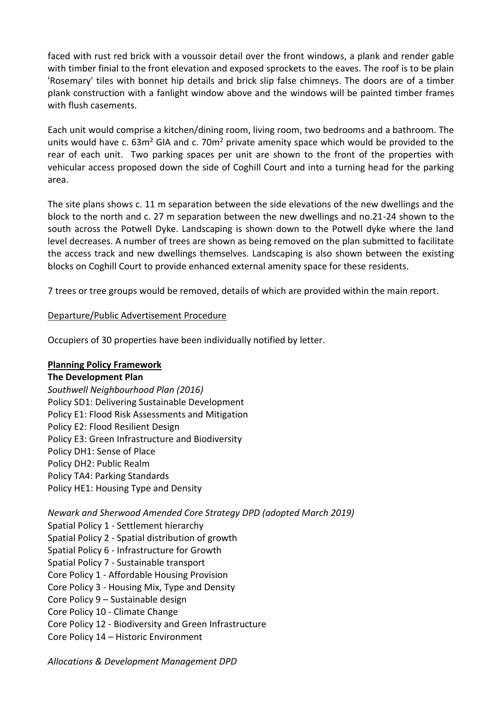faced with rust red brick with a voussoir detail over the front windows, a plank and render gable with timber finial to the front elevation and exposed sprockets to the eaves. The roof is to be plain 'Rosemary' tiles with bonnet hip details and brick slip false chimneys. The doors are of a timber plank construction with a fanlight window above and the windows will be painted timber frames with flush casements.

Each unit would comprise a kitchen/dining room, living room, two bedrooms and a bathroom. The units would have c.  $63m^2$  GIA and c. 70 $m^2$  private amenity space which would be provided to the rear of each unit. Two parking spaces per unit are shown to the front of the properties with vehicular access proposed down the side of Coghill Court and into a turning head for the parking area.

The site plans shows c. 11 m separation between the side elevations of the new dwellings and the block to the north and c. 27 m separation between the new dwellings and no.21-24 shown to the south across the Potwell Dyke. Landscaping is shown down to the Potwell dyke where the land level decreases. A number of trees are shown as being removed on the plan submitted to facilitate the access track and new dwellings themselves. Landscaping is also shown between the existing blocks on Coghill Court to provide enhanced external amenity space for these residents.

7 trees or tree groups would be removed, details of which are provided within the main report.

## Departure/Public Advertisement Procedure

Occupiers of 30 properties have been individually notified by letter.

## **Planning Policy Framework**

## **The Development Plan**

*Southwell Neighbourhood Plan (2016)* Policy SD1: Delivering Sustainable Development Policy E1: Flood Risk Assessments and Mitigation Policy E2: Flood Resilient Design Policy E3: Green Infrastructure and Biodiversity Policy DH1: Sense of Place Policy DH2: Public Realm Policy TA4: Parking Standards Policy HE1: Housing Type and Density

## *Newark and Sherwood Amended Core Strategy DPD (adopted March 2019)*

Spatial Policy 1 - Settlement hierarchy Spatial Policy 2 - Spatial distribution of growth Spatial Policy 6 - Infrastructure for Growth Spatial Policy 7 - Sustainable transport Core Policy 1 - Affordable Housing Provision Core Policy 3 - Housing Mix, Type and Density Core Policy 9 – Sustainable design Core Policy 10 - Climate Change Core Policy 12 - Biodiversity and Green Infrastructure Core Policy 14 – Historic Environment

*Allocations & Development Management DPD*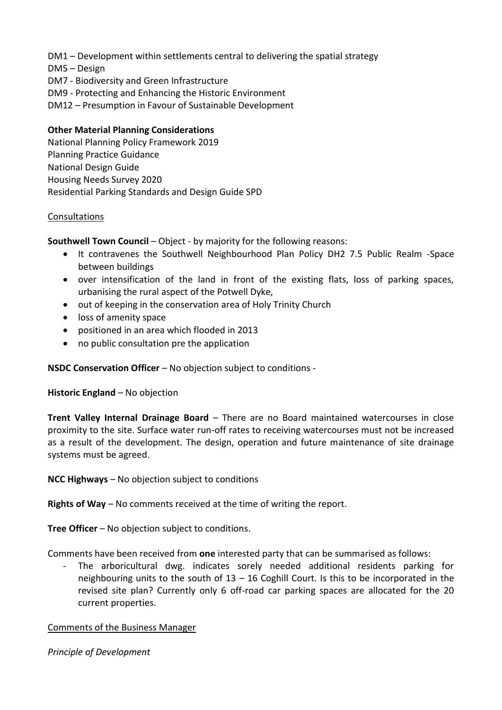DM1 – Development within settlements central to delivering the spatial strategy

- DM5 Design
- DM7 Biodiversity and Green Infrastructure
- DM9 Protecting and Enhancing the Historic Environment
- DM12 Presumption in Favour of Sustainable Development

## **Other Material Planning Considerations**

National Planning Policy Framework 2019 Planning Practice Guidance National Design Guide Housing Needs Survey 2020 Residential Parking Standards and Design Guide SPD

#### Consultations

**Southwell Town Council – Object - by majority for the following reasons:** 

- It contravenes the Southwell Neighbourhood Plan Policy DH2 7.5 Public Realm -Space between buildings
- over intensification of the land in front of the existing flats, loss of parking spaces, urbanising the rural aspect of the Potwell Dyke,
- out of keeping in the conservation area of Holy Trinity Church
- loss of amenity space
- positioned in an area which flooded in 2013
- no public consultation pre the application

## **NSDC Conservation Officer** – No objection subject to conditions -

#### **Historic England** – No objection

**Trent Valley Internal Drainage Board** – There are no Board maintained watercourses in close proximity to the site. Surface water run-off rates to receiving watercourses must not be increased as a result of the development. The design, operation and future maintenance of site drainage systems must be agreed.

**NCC Highways** – No objection subject to conditions

**Rights of Way** – No comments received at the time of writing the report.

**Tree Officer** – No objection subject to conditions.

Comments have been received from **one** interested party that can be summarised as follows:

The arboricultural dwg. indicates sorely needed additional residents parking for neighbouring units to the south of  $13 - 16$  Coghill Court. Is this to be incorporated in the revised site plan? Currently only 6 off-road car parking spaces are allocated for the 20 current properties.

## Comments of the Business Manager

*Principle of Development*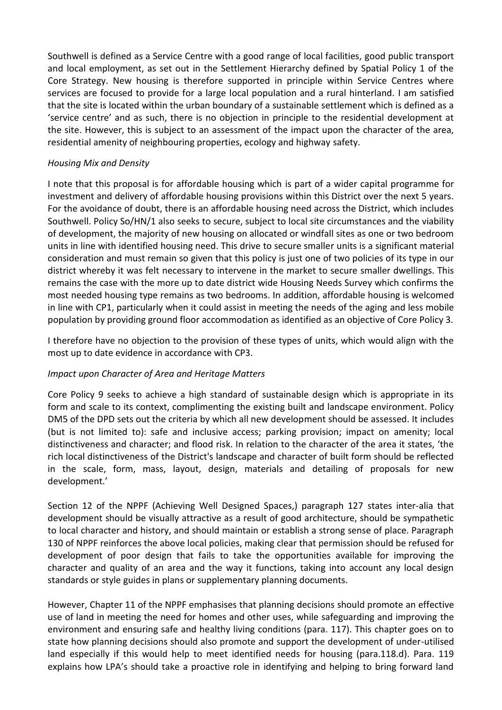Southwell is defined as a Service Centre with a good range of local facilities, good public transport and local employment, as set out in the Settlement Hierarchy defined by Spatial Policy 1 of the Core Strategy. New housing is therefore supported in principle within Service Centres where services are focused to provide for a large local population and a rural hinterland. I am satisfied that the site is located within the urban boundary of a sustainable settlement which is defined as a 'service centre' and as such, there is no objection in principle to the residential development at the site. However, this is subject to an assessment of the impact upon the character of the area, residential amenity of neighbouring properties, ecology and highway safety.

### *Housing Mix and Density*

I note that this proposal is for affordable housing which is part of a wider capital programme for investment and delivery of affordable housing provisions within this District over the next 5 years. For the avoidance of doubt, there is an affordable housing need across the District, which includes Southwell. Policy So/HN/1 also seeks to secure, subject to local site circumstances and the viability of development, the majority of new housing on allocated or windfall sites as one or two bedroom units in line with identified housing need. This drive to secure smaller units is a significant material consideration and must remain so given that this policy is just one of two policies of its type in our district whereby it was felt necessary to intervene in the market to secure smaller dwellings. This remains the case with the more up to date district wide Housing Needs Survey which confirms the most needed housing type remains as two bedrooms. In addition, affordable housing is welcomed in line with CP1, particularly when it could assist in meeting the needs of the aging and less mobile population by providing ground floor accommodation as identified as an objective of Core Policy 3.

I therefore have no objection to the provision of these types of units, which would align with the most up to date evidence in accordance with CP3.

#### *Impact upon Character of Area and Heritage Matters*

Core Policy 9 seeks to achieve a high standard of sustainable design which is appropriate in its form and scale to its context, complimenting the existing built and landscape environment. Policy DM5 of the DPD sets out the criteria by which all new development should be assessed. It includes (but is not limited to): safe and inclusive access; parking provision; impact on amenity; local distinctiveness and character; and flood risk. In relation to the character of the area it states, 'the rich local distinctiveness of the District's landscape and character of built form should be reflected in the scale, form, mass, layout, design, materials and detailing of proposals for new development.'

Section 12 of the NPPF (Achieving Well Designed Spaces,) paragraph 127 states inter-alia that development should be visually attractive as a result of good architecture, should be sympathetic to local character and history, and should maintain or establish a strong sense of place. Paragraph 130 of NPPF reinforces the above local policies, making clear that permission should be refused for development of poor design that fails to take the opportunities available for improving the character and quality of an area and the way it functions, taking into account any local design standards or style guides in plans or supplementary planning documents.

However, Chapter 11 of the NPPF emphasises that planning decisions should promote an effective use of land in meeting the need for homes and other uses, while safeguarding and improving the environment and ensuring safe and healthy living conditions (para. 117). This chapter goes on to state how planning decisions should also promote and support the development of under-utilised land especially if this would help to meet identified needs for housing (para.118.d). Para. 119 explains how LPA's should take a proactive role in identifying and helping to bring forward land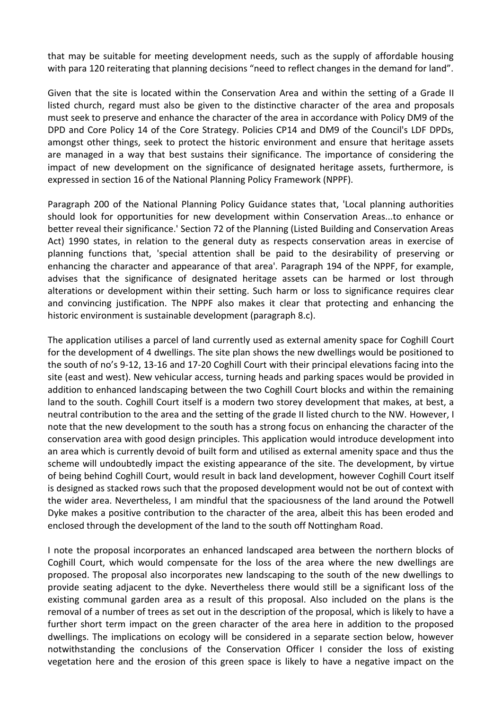that may be suitable for meeting development needs, such as the supply of affordable housing with para 120 reiterating that planning decisions "need to reflect changes in the demand for land".

Given that the site is located within the Conservation Area and within the setting of a Grade II listed church, regard must also be given to the distinctive character of the area and proposals must seek to preserve and enhance the character of the area in accordance with Policy DM9 of the DPD and Core Policy 14 of the Core Strategy. Policies CP14 and DM9 of the Council's LDF DPDs, amongst other things, seek to protect the historic environment and ensure that heritage assets are managed in a way that best sustains their significance. The importance of considering the impact of new development on the significance of designated heritage assets, furthermore, is expressed in section 16 of the National Planning Policy Framework (NPPF).

Paragraph 200 of the National Planning Policy Guidance states that, 'Local planning authorities should look for opportunities for new development within Conservation Areas...to enhance or better reveal their significance.' Section 72 of the Planning (Listed Building and Conservation Areas Act) 1990 states, in relation to the general duty as respects conservation areas in exercise of planning functions that, 'special attention shall be paid to the desirability of preserving or enhancing the character and appearance of that area'. Paragraph 194 of the NPPF, for example, advises that the significance of designated heritage assets can be harmed or lost through alterations or development within their setting. Such harm or loss to significance requires clear and convincing justification. The NPPF also makes it clear that protecting and enhancing the historic environment is sustainable development (paragraph 8.c).

The application utilises a parcel of land currently used as external amenity space for Coghill Court for the development of 4 dwellings. The site plan shows the new dwellings would be positioned to the south of no's 9-12, 13-16 and 17-20 Coghill Court with their principal elevations facing into the site (east and west). New vehicular access, turning heads and parking spaces would be provided in addition to enhanced landscaping between the two Coghill Court blocks and within the remaining land to the south. Coghill Court itself is a modern two storey development that makes, at best, a neutral contribution to the area and the setting of the grade II listed church to the NW. However, I note that the new development to the south has a strong focus on enhancing the character of the conservation area with good design principles. This application would introduce development into an area which is currently devoid of built form and utilised as external amenity space and thus the scheme will undoubtedly impact the existing appearance of the site. The development, by virtue of being behind Coghill Court, would result in back land development, however Coghill Court itself is designed as stacked rows such that the proposed development would not be out of context with the wider area. Nevertheless, I am mindful that the spaciousness of the land around the Potwell Dyke makes a positive contribution to the character of the area, albeit this has been eroded and enclosed through the development of the land to the south off Nottingham Road.

I note the proposal incorporates an enhanced landscaped area between the northern blocks of Coghill Court, which would compensate for the loss of the area where the new dwellings are proposed. The proposal also incorporates new landscaping to the south of the new dwellings to provide seating adjacent to the dyke. Nevertheless there would still be a significant loss of the existing communal garden area as a result of this proposal. Also included on the plans is the removal of a number of trees as set out in the description of the proposal, which is likely to have a further short term impact on the green character of the area here in addition to the proposed dwellings. The implications on ecology will be considered in a separate section below, however notwithstanding the conclusions of the Conservation Officer I consider the loss of existing vegetation here and the erosion of this green space is likely to have a negative impact on the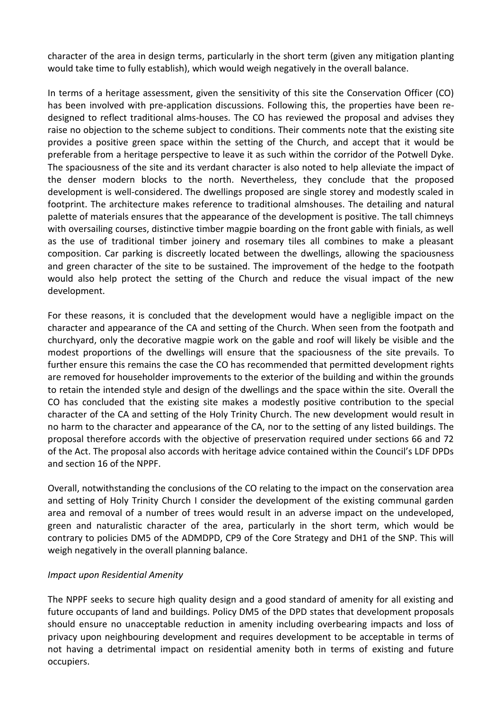character of the area in design terms, particularly in the short term (given any mitigation planting would take time to fully establish), which would weigh negatively in the overall balance.

In terms of a heritage assessment, given the sensitivity of this site the Conservation Officer (CO) has been involved with pre-application discussions. Following this, the properties have been redesigned to reflect traditional alms-houses. The CO has reviewed the proposal and advises they raise no objection to the scheme subject to conditions. Their comments note that the existing site provides a positive green space within the setting of the Church, and accept that it would be preferable from a heritage perspective to leave it as such within the corridor of the Potwell Dyke. The spaciousness of the site and its verdant character is also noted to help alleviate the impact of the denser modern blocks to the north. Nevertheless, they conclude that the proposed development is well-considered. The dwellings proposed are single storey and modestly scaled in footprint. The architecture makes reference to traditional almshouses. The detailing and natural palette of materials ensures that the appearance of the development is positive. The tall chimneys with oversailing courses, distinctive timber magpie boarding on the front gable with finials, as well as the use of traditional timber joinery and rosemary tiles all combines to make a pleasant composition. Car parking is discreetly located between the dwellings, allowing the spaciousness and green character of the site to be sustained. The improvement of the hedge to the footpath would also help protect the setting of the Church and reduce the visual impact of the new development.

For these reasons, it is concluded that the development would have a negligible impact on the character and appearance of the CA and setting of the Church. When seen from the footpath and churchyard, only the decorative magpie work on the gable and roof will likely be visible and the modest proportions of the dwellings will ensure that the spaciousness of the site prevails. To further ensure this remains the case the CO has recommended that permitted development rights are removed for householder improvements to the exterior of the building and within the grounds to retain the intended style and design of the dwellings and the space within the site. Overall the CO has concluded that the existing site makes a modestly positive contribution to the special character of the CA and setting of the Holy Trinity Church. The new development would result in no harm to the character and appearance of the CA, nor to the setting of any listed buildings. The proposal therefore accords with the objective of preservation required under sections 66 and 72 of the Act. The proposal also accords with heritage advice contained within the Council's LDF DPDs and section 16 of the NPPF.

Overall, notwithstanding the conclusions of the CO relating to the impact on the conservation area and setting of Holy Trinity Church I consider the development of the existing communal garden area and removal of a number of trees would result in an adverse impact on the undeveloped, green and naturalistic character of the area, particularly in the short term, which would be contrary to policies DM5 of the ADMDPD, CP9 of the Core Strategy and DH1 of the SNP. This will weigh negatively in the overall planning balance.

## *Impact upon Residential Amenity*

The NPPF seeks to secure high quality design and a good standard of amenity for all existing and future occupants of land and buildings. Policy DM5 of the DPD states that development proposals should ensure no unacceptable reduction in amenity including overbearing impacts and loss of privacy upon neighbouring development and requires development to be acceptable in terms of not having a detrimental impact on residential amenity both in terms of existing and future occupiers.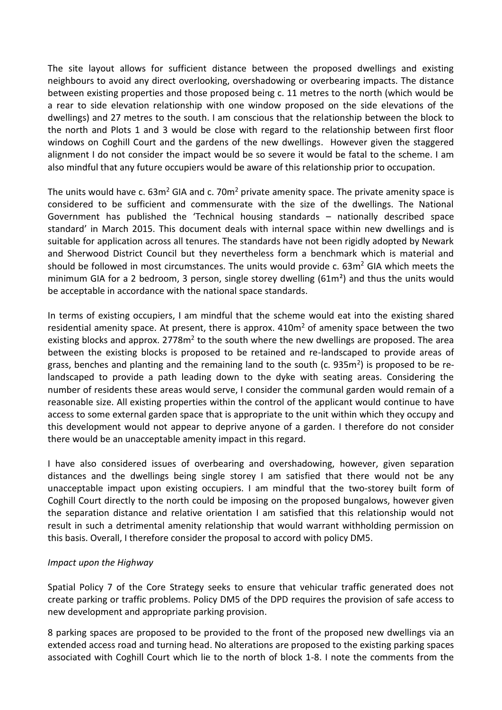The site layout allows for sufficient distance between the proposed dwellings and existing neighbours to avoid any direct overlooking, overshadowing or overbearing impacts. The distance between existing properties and those proposed being c. 11 metres to the north (which would be a rear to side elevation relationship with one window proposed on the side elevations of the dwellings) and 27 metres to the south. I am conscious that the relationship between the block to the north and Plots 1 and 3 would be close with regard to the relationship between first floor windows on Coghill Court and the gardens of the new dwellings. However given the staggered alignment I do not consider the impact would be so severe it would be fatal to the scheme. I am also mindful that any future occupiers would be aware of this relationship prior to occupation.

The units would have c.  $63m^2$  GIA and c.  $70m^2$  private amenity space. The private amenity space is considered to be sufficient and commensurate with the size of the dwellings. The National Government has published the 'Technical housing standards – nationally described space standard' in March 2015. This document deals with internal space within new dwellings and is suitable for application across all tenures. The standards have not been rigidly adopted by Newark and Sherwood District Council but they nevertheless form a benchmark which is material and should be followed in most circumstances. The units would provide c.  $63m^2$  GIA which meets the minimum GIA for a 2 bedroom, 3 person, single storey dwelling ( $61m<sup>2</sup>$ ) and thus the units would be acceptable in accordance with the national space standards.

In terms of existing occupiers, I am mindful that the scheme would eat into the existing shared residential amenity space. At present, there is approx.  $410m<sup>2</sup>$  of amenity space between the two existing blocks and approx. 2778m<sup>2</sup> to the south where the new dwellings are proposed. The area between the existing blocks is proposed to be retained and re-landscaped to provide areas of grass, benches and planting and the remaining land to the south (c. 935m<sup>2</sup>) is proposed to be relandscaped to provide a path leading down to the dyke with seating areas. Considering the number of residents these areas would serve, I consider the communal garden would remain of a reasonable size. All existing properties within the control of the applicant would continue to have access to some external garden space that is appropriate to the unit within which they occupy and this development would not appear to deprive anyone of a garden. I therefore do not consider there would be an unacceptable amenity impact in this regard.

I have also considered issues of overbearing and overshadowing, however, given separation distances and the dwellings being single storey I am satisfied that there would not be any unacceptable impact upon existing occupiers. I am mindful that the two-storey built form of Coghill Court directly to the north could be imposing on the proposed bungalows, however given the separation distance and relative orientation I am satisfied that this relationship would not result in such a detrimental amenity relationship that would warrant withholding permission on this basis. Overall, I therefore consider the proposal to accord with policy DM5.

#### *Impact upon the Highway*

Spatial Policy 7 of the Core Strategy seeks to ensure that vehicular traffic generated does not create parking or traffic problems. Policy DM5 of the DPD requires the provision of safe access to new development and appropriate parking provision.

8 parking spaces are proposed to be provided to the front of the proposed new dwellings via an extended access road and turning head. No alterations are proposed to the existing parking spaces associated with Coghill Court which lie to the north of block 1-8. I note the comments from the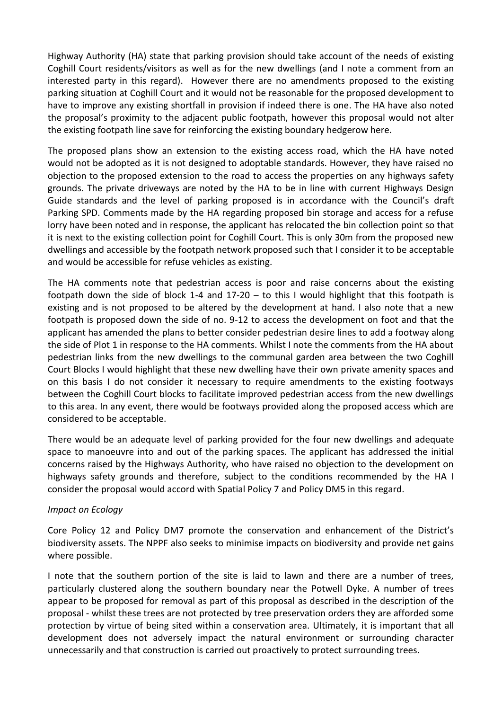Highway Authority (HA) state that parking provision should take account of the needs of existing Coghill Court residents/visitors as well as for the new dwellings (and I note a comment from an interested party in this regard). However there are no amendments proposed to the existing parking situation at Coghill Court and it would not be reasonable for the proposed development to have to improve any existing shortfall in provision if indeed there is one. The HA have also noted the proposal's proximity to the adjacent public footpath, however this proposal would not alter the existing footpath line save for reinforcing the existing boundary hedgerow here.

The proposed plans show an extension to the existing access road, which the HA have noted would not be adopted as it is not designed to adoptable standards. However, they have raised no objection to the proposed extension to the road to access the properties on any highways safety grounds. The private driveways are noted by the HA to be in line with current Highways Design Guide standards and the level of parking proposed is in accordance with the Council's draft Parking SPD. Comments made by the HA regarding proposed bin storage and access for a refuse lorry have been noted and in response, the applicant has relocated the bin collection point so that it is next to the existing collection point for Coghill Court. This is only 30m from the proposed new dwellings and accessible by the footpath network proposed such that I consider it to be acceptable and would be accessible for refuse vehicles as existing.

The HA comments note that pedestrian access is poor and raise concerns about the existing footpath down the side of block 1-4 and 17-20 – to this I would highlight that this footpath is existing and is not proposed to be altered by the development at hand. I also note that a new footpath is proposed down the side of no. 9-12 to access the development on foot and that the applicant has amended the plans to better consider pedestrian desire lines to add a footway along the side of Plot 1 in response to the HA comments. Whilst I note the comments from the HA about pedestrian links from the new dwellings to the communal garden area between the two Coghill Court Blocks I would highlight that these new dwelling have their own private amenity spaces and on this basis I do not consider it necessary to require amendments to the existing footways between the Coghill Court blocks to facilitate improved pedestrian access from the new dwellings to this area. In any event, there would be footways provided along the proposed access which are considered to be acceptable.

There would be an adequate level of parking provided for the four new dwellings and adequate space to manoeuvre into and out of the parking spaces. The applicant has addressed the initial concerns raised by the Highways Authority, who have raised no objection to the development on highways safety grounds and therefore, subject to the conditions recommended by the HA I consider the proposal would accord with Spatial Policy 7 and Policy DM5 in this regard.

#### *Impact on Ecology*

Core Policy 12 and Policy DM7 promote the conservation and enhancement of the District's biodiversity assets. The NPPF also seeks to minimise impacts on biodiversity and provide net gains where possible.

I note that the southern portion of the site is laid to lawn and there are a number of trees, particularly clustered along the southern boundary near the Potwell Dyke. A number of trees appear to be proposed for removal as part of this proposal as described in the description of the proposal - whilst these trees are not protected by tree preservation orders they are afforded some protection by virtue of being sited within a conservation area. Ultimately, it is important that all development does not adversely impact the natural environment or surrounding character unnecessarily and that construction is carried out proactively to protect surrounding trees.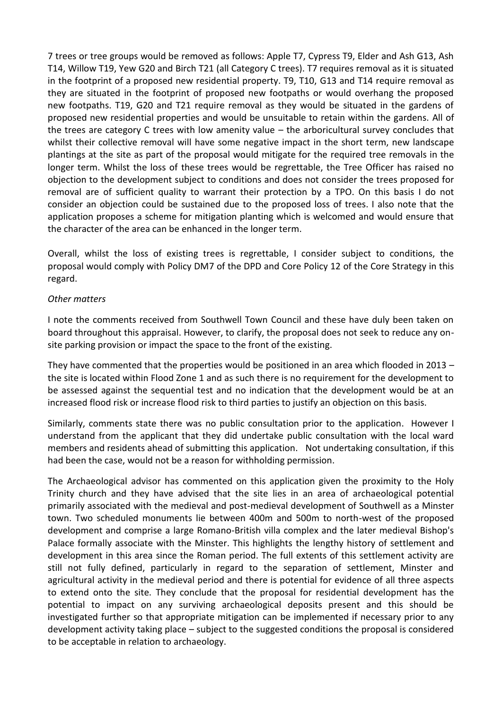7 trees or tree groups would be removed as follows: Apple T7, Cypress T9, Elder and Ash G13, Ash T14, Willow T19, Yew G20 and Birch T21 (all Category C trees). T7 requires removal as it is situated in the footprint of a proposed new residential property. T9, T10, G13 and T14 require removal as they are situated in the footprint of proposed new footpaths or would overhang the proposed new footpaths. T19, G20 and T21 require removal as they would be situated in the gardens of proposed new residential properties and would be unsuitable to retain within the gardens. All of the trees are category C trees with low amenity value – the arboricultural survey concludes that whilst their collective removal will have some negative impact in the short term, new landscape plantings at the site as part of the proposal would mitigate for the required tree removals in the longer term. Whilst the loss of these trees would be regrettable, the Tree Officer has raised no objection to the development subject to conditions and does not consider the trees proposed for removal are of sufficient quality to warrant their protection by a TPO. On this basis I do not consider an objection could be sustained due to the proposed loss of trees. I also note that the application proposes a scheme for mitigation planting which is welcomed and would ensure that the character of the area can be enhanced in the longer term.

Overall, whilst the loss of existing trees is regrettable, I consider subject to conditions, the proposal would comply with Policy DM7 of the DPD and Core Policy 12 of the Core Strategy in this regard.

#### *Other matters*

I note the comments received from Southwell Town Council and these have duly been taken on board throughout this appraisal. However, to clarify, the proposal does not seek to reduce any onsite parking provision or impact the space to the front of the existing.

They have commented that the properties would be positioned in an area which flooded in 2013 – the site is located within Flood Zone 1 and as such there is no requirement for the development to be assessed against the sequential test and no indication that the development would be at an increased flood risk or increase flood risk to third parties to justify an objection on this basis.

Similarly, comments state there was no public consultation prior to the application. However I understand from the applicant that they did undertake public consultation with the local ward members and residents ahead of submitting this application. Not undertaking consultation, if this had been the case, would not be a reason for withholding permission.

The Archaeological advisor has commented on this application given the proximity to the Holy Trinity church and they have advised that the site lies in an area of archaeological potential primarily associated with the medieval and post-medieval development of Southwell as a Minster town. Two scheduled monuments lie between 400m and 500m to north-west of the proposed development and comprise a large Romano-British villa complex and the later medieval Bishop's Palace formally associate with the Minster. This highlights the lengthy history of settlement and development in this area since the Roman period. The full extents of this settlement activity are still not fully defined, particularly in regard to the separation of settlement, Minster and agricultural activity in the medieval period and there is potential for evidence of all three aspects to extend onto the site. They conclude that the proposal for residential development has the potential to impact on any surviving archaeological deposits present and this should be investigated further so that appropriate mitigation can be implemented if necessary prior to any development activity taking place – subject to the suggested conditions the proposal is considered to be acceptable in relation to archaeology.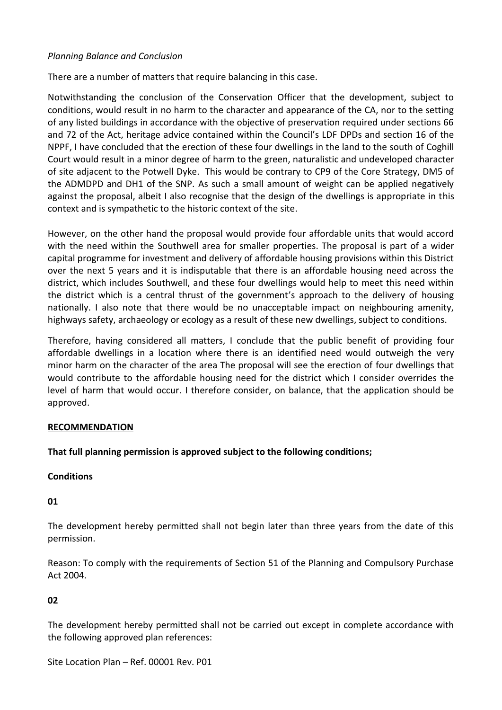### *Planning Balance and Conclusion*

There are a number of matters that require balancing in this case.

Notwithstanding the conclusion of the Conservation Officer that the development, subject to conditions, would result in no harm to the character and appearance of the CA, nor to the setting of any listed buildings in accordance with the objective of preservation required under sections 66 and 72 of the Act, heritage advice contained within the Council's LDF DPDs and section 16 of the NPPF, I have concluded that the erection of these four dwellings in the land to the south of Coghill Court would result in a minor degree of harm to the green, naturalistic and undeveloped character of site adjacent to the Potwell Dyke. This would be contrary to CP9 of the Core Strategy, DM5 of the ADMDPD and DH1 of the SNP. As such a small amount of weight can be applied negatively against the proposal, albeit I also recognise that the design of the dwellings is appropriate in this context and is sympathetic to the historic context of the site.

However, on the other hand the proposal would provide four affordable units that would accord with the need within the Southwell area for smaller properties. The proposal is part of a wider capital programme for investment and delivery of affordable housing provisions within this District over the next 5 years and it is indisputable that there is an affordable housing need across the district, which includes Southwell, and these four dwellings would help to meet this need within the district which is a central thrust of the government's approach to the delivery of housing nationally. I also note that there would be no unacceptable impact on neighbouring amenity, highways safety, archaeology or ecology as a result of these new dwellings, subject to conditions.

Therefore, having considered all matters, I conclude that the public benefit of providing four affordable dwellings in a location where there is an identified need would outweigh the very minor harm on the character of the area The proposal will see the erection of four dwellings that would contribute to the affordable housing need for the district which I consider overrides the level of harm that would occur. I therefore consider, on balance, that the application should be approved.

#### **RECOMMENDATION**

## **That full planning permission is approved subject to the following conditions;**

#### **Conditions**

#### **01**

The development hereby permitted shall not begin later than three years from the date of this permission.

Reason: To comply with the requirements of Section 51 of the Planning and Compulsory Purchase Act 2004.

## **02**

The development hereby permitted shall not be carried out except in complete accordance with the following approved plan references:

Site Location Plan – Ref. 00001 Rev. P01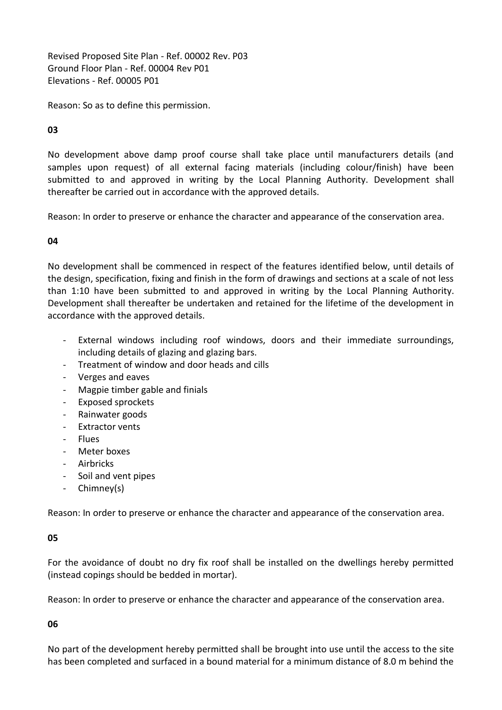Revised Proposed Site Plan - Ref. 00002 Rev. P03 Ground Floor Plan - Ref. 00004 Rev P01 Elevations - Ref. 00005 P01

Reason: So as to define this permission.

**03**

No development above damp proof course shall take place until manufacturers details (and samples upon request) of all external facing materials (including colour/finish) have been submitted to and approved in writing by the Local Planning Authority. Development shall thereafter be carried out in accordance with the approved details.

Reason: In order to preserve or enhance the character and appearance of the conservation area.

**04**

No development shall be commenced in respect of the features identified below, until details of the design, specification, fixing and finish in the form of drawings and sections at a scale of not less than 1:10 have been submitted to and approved in writing by the Local Planning Authority. Development shall thereafter be undertaken and retained for the lifetime of the development in accordance with the approved details.

- External windows including roof windows, doors and their immediate surroundings, including details of glazing and glazing bars.
- Treatment of window and door heads and cills
- Verges and eaves
- Magpie timber gable and finials
- Exposed sprockets
- Rainwater goods
- Extractor vents
- **Flues**
- Meter boxes
- Airbricks
- Soil and vent pipes
- Chimney(s)

Reason: In order to preserve or enhance the character and appearance of the conservation area.

#### **05**

For the avoidance of doubt no dry fix roof shall be installed on the dwellings hereby permitted (instead copings should be bedded in mortar).

Reason: In order to preserve or enhance the character and appearance of the conservation area.

**06**

No part of the development hereby permitted shall be brought into use until the access to the site has been completed and surfaced in a bound material for a minimum distance of 8.0 m behind the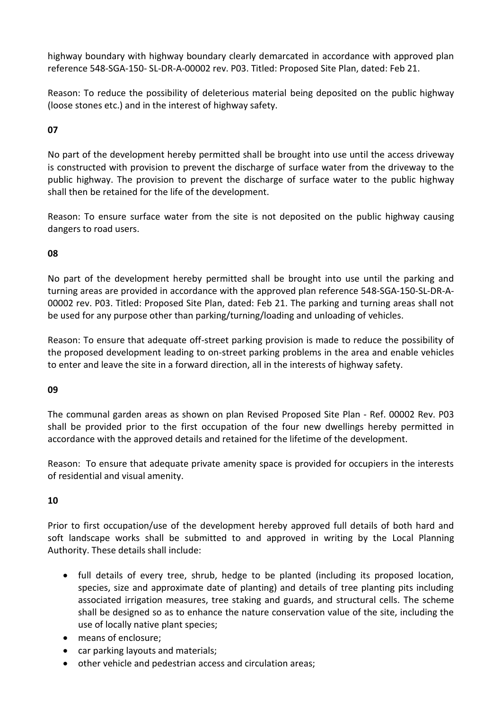highway boundary with highway boundary clearly demarcated in accordance with approved plan reference 548-SGA-150- SL-DR-A-00002 rev. P03. Titled: Proposed Site Plan, dated: Feb 21.

Reason: To reduce the possibility of deleterious material being deposited on the public highway (loose stones etc.) and in the interest of highway safety.

## **07**

No part of the development hereby permitted shall be brought into use until the access driveway is constructed with provision to prevent the discharge of surface water from the driveway to the public highway. The provision to prevent the discharge of surface water to the public highway shall then be retained for the life of the development.

Reason: To ensure surface water from the site is not deposited on the public highway causing dangers to road users.

## **08**

No part of the development hereby permitted shall be brought into use until the parking and turning areas are provided in accordance with the approved plan reference 548-SGA-150-SL-DR-A-00002 rev. P03. Titled: Proposed Site Plan, dated: Feb 21. The parking and turning areas shall not be used for any purpose other than parking/turning/loading and unloading of vehicles.

Reason: To ensure that adequate off-street parking provision is made to reduce the possibility of the proposed development leading to on-street parking problems in the area and enable vehicles to enter and leave the site in a forward direction, all in the interests of highway safety.

## **09**

The communal garden areas as shown on plan Revised Proposed Site Plan - Ref. 00002 Rev. P03 shall be provided prior to the first occupation of the four new dwellings hereby permitted in accordance with the approved details and retained for the lifetime of the development.

Reason: To ensure that adequate private amenity space is provided for occupiers in the interests of residential and visual amenity.

## **10**

Prior to first occupation/use of the development hereby approved full details of both hard and soft landscape works shall be submitted to and approved in writing by the Local Planning Authority. These details shall include:

- full details of every tree, shrub, hedge to be planted (including its proposed location, species, size and approximate date of planting) and details of tree planting pits including associated irrigation measures, tree staking and guards, and structural cells. The scheme shall be designed so as to enhance the nature conservation value of the site, including the use of locally native plant species;
- means of enclosure;
- car parking layouts and materials;
- other vehicle and pedestrian access and circulation areas;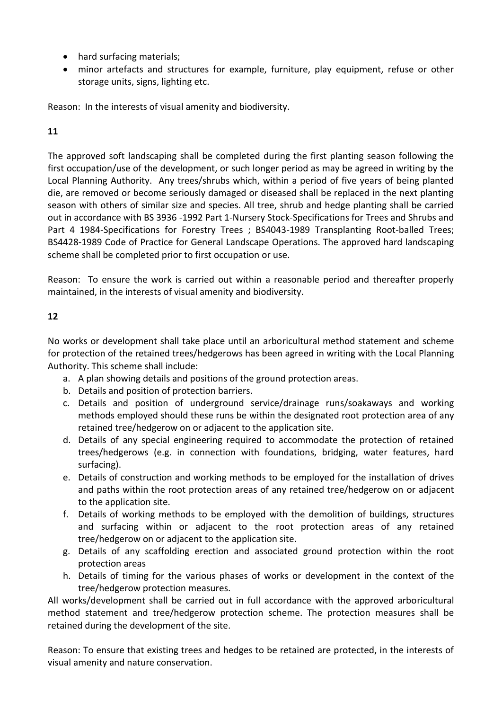- hard surfacing materials;
- minor artefacts and structures for example, furniture, play equipment, refuse or other storage units, signs, lighting etc.

Reason: In the interests of visual amenity and biodiversity.

# **11**

The approved soft landscaping shall be completed during the first planting season following the first occupation/use of the development, or such longer period as may be agreed in writing by the Local Planning Authority. Any trees/shrubs which, within a period of five years of being planted die, are removed or become seriously damaged or diseased shall be replaced in the next planting season with others of similar size and species. All tree, shrub and hedge planting shall be carried out in accordance with BS 3936 -1992 Part 1-Nursery Stock-Specifications for Trees and Shrubs and Part 4 1984-Specifications for Forestry Trees ; BS4043-1989 Transplanting Root-balled Trees; BS4428-1989 Code of Practice for General Landscape Operations. The approved hard landscaping scheme shall be completed prior to first occupation or use.

Reason: To ensure the work is carried out within a reasonable period and thereafter properly maintained, in the interests of visual amenity and biodiversity.

## **12**

No works or development shall take place until an arboricultural method statement and scheme for protection of the retained trees/hedgerows has been agreed in writing with the Local Planning Authority. This scheme shall include:

- a. A plan showing details and positions of the ground protection areas.
- b. Details and position of protection barriers.
- c. Details and position of underground service/drainage runs/soakaways and working methods employed should these runs be within the designated root protection area of any retained tree/hedgerow on or adjacent to the application site.
- d. Details of any special engineering required to accommodate the protection of retained trees/hedgerows (e.g. in connection with foundations, bridging, water features, hard surfacing).
- e. Details of construction and working methods to be employed for the installation of drives and paths within the root protection areas of any retained tree/hedgerow on or adjacent to the application site.
- f. Details of working methods to be employed with the demolition of buildings, structures and surfacing within or adjacent to the root protection areas of any retained tree/hedgerow on or adjacent to the application site.
- g. Details of any scaffolding erection and associated ground protection within the root protection areas
- h. Details of timing for the various phases of works or development in the context of the tree/hedgerow protection measures.

All works/development shall be carried out in full accordance with the approved arboricultural method statement and tree/hedgerow protection scheme. The protection measures shall be retained during the development of the site.

Reason: To ensure that existing trees and hedges to be retained are protected, in the interests of visual amenity and nature conservation.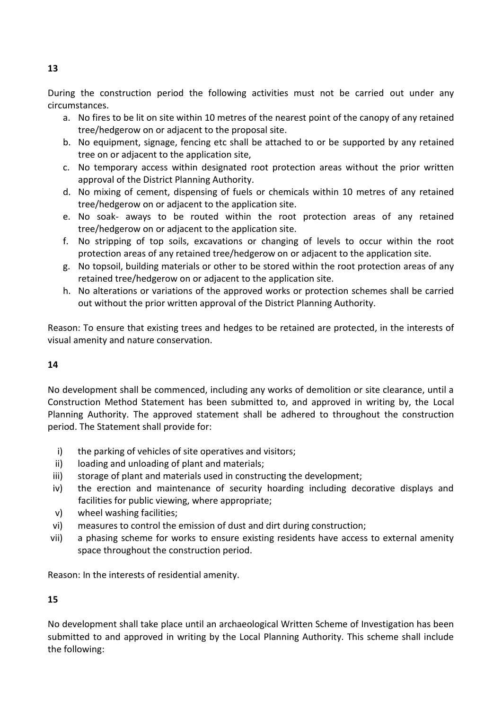During the construction period the following activities must not be carried out under any circumstances.

- a. No fires to be lit on site within 10 metres of the nearest point of the canopy of any retained tree/hedgerow on or adjacent to the proposal site.
- b. No equipment, signage, fencing etc shall be attached to or be supported by any retained tree on or adjacent to the application site,
- c. No temporary access within designated root protection areas without the prior written approval of the District Planning Authority.
- d. No mixing of cement, dispensing of fuels or chemicals within 10 metres of any retained tree/hedgerow on or adjacent to the application site.
- e. No soak- aways to be routed within the root protection areas of any retained tree/hedgerow on or adjacent to the application site.
- f. No stripping of top soils, excavations or changing of levels to occur within the root protection areas of any retained tree/hedgerow on or adjacent to the application site.
- g. No topsoil, building materials or other to be stored within the root protection areas of any retained tree/hedgerow on or adjacent to the application site.
- h. No alterations or variations of the approved works or protection schemes shall be carried out without the prior written approval of the District Planning Authority.

Reason: To ensure that existing trees and hedges to be retained are protected, in the interests of visual amenity and nature conservation.

## **14**

No development shall be commenced, including any works of demolition or site clearance, until a Construction Method Statement has been submitted to, and approved in writing by, the Local Planning Authority. The approved statement shall be adhered to throughout the construction period. The Statement shall provide for:

- i) the parking of vehicles of site operatives and visitors;
- ii) loading and unloading of plant and materials;
- iii) storage of plant and materials used in constructing the development;
- iv) the erection and maintenance of security hoarding including decorative displays and facilities for public viewing, where appropriate;
- v) wheel washing facilities;
- vi) measures to control the emission of dust and dirt during construction;
- vii) a phasing scheme for works to ensure existing residents have access to external amenity space throughout the construction period.

Reason: In the interests of residential amenity.

## **15**

No development shall take place until an archaeological Written Scheme of Investigation has been submitted to and approved in writing by the Local Planning Authority. This scheme shall include the following: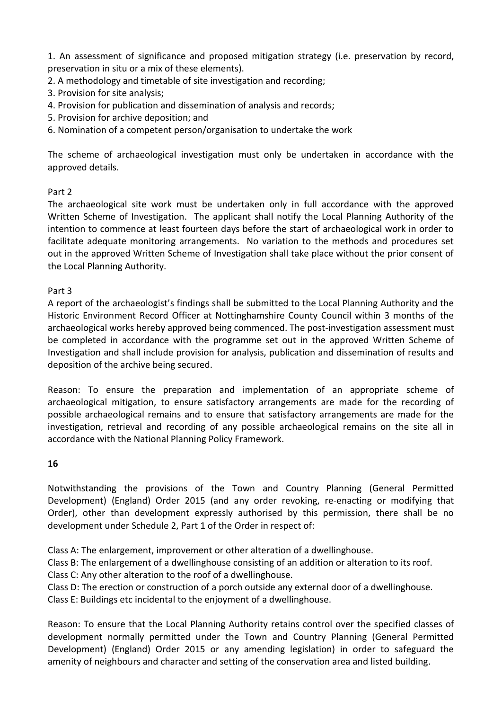1. An assessment of significance and proposed mitigation strategy (i.e. preservation by record, preservation in situ or a mix of these elements).

- 2. A methodology and timetable of site investigation and recording;
- 3. Provision for site analysis;
- 4. Provision for publication and dissemination of analysis and records;
- 5. Provision for archive deposition; and
- 6. Nomination of a competent person/organisation to undertake the work

The scheme of archaeological investigation must only be undertaken in accordance with the approved details.

## Part 2

The archaeological site work must be undertaken only in full accordance with the approved Written Scheme of Investigation. The applicant shall notify the Local Planning Authority of the intention to commence at least fourteen days before the start of archaeological work in order to facilitate adequate monitoring arrangements. No variation to the methods and procedures set out in the approved Written Scheme of Investigation shall take place without the prior consent of the Local Planning Authority.

## Part 3

A report of the archaeologist's findings shall be submitted to the Local Planning Authority and the Historic Environment Record Officer at Nottinghamshire County Council within 3 months of the archaeological works hereby approved being commenced. The post-investigation assessment must be completed in accordance with the programme set out in the approved Written Scheme of Investigation and shall include provision for analysis, publication and dissemination of results and deposition of the archive being secured.

Reason: To ensure the preparation and implementation of an appropriate scheme of archaeological mitigation, to ensure satisfactory arrangements are made for the recording of possible archaeological remains and to ensure that satisfactory arrangements are made for the investigation, retrieval and recording of any possible archaeological remains on the site all in accordance with the National Planning Policy Framework.

## **16**

Notwithstanding the provisions of the Town and Country Planning (General Permitted Development) (England) Order 2015 (and any order revoking, re-enacting or modifying that Order), other than development expressly authorised by this permission, there shall be no development under Schedule 2, Part 1 of the Order in respect of:

Class A: The enlargement, improvement or other alteration of a dwellinghouse.

Class B: The enlargement of a dwellinghouse consisting of an addition or alteration to its roof.

Class C: Any other alteration to the roof of a dwellinghouse.

Class D: The erection or construction of a porch outside any external door of a dwellinghouse.

Class E: Buildings etc incidental to the enjoyment of a dwellinghouse.

Reason: To ensure that the Local Planning Authority retains control over the specified classes of development normally permitted under the Town and Country Planning (General Permitted Development) (England) Order 2015 or any amending legislation) in order to safeguard the amenity of neighbours and character and setting of the conservation area and listed building.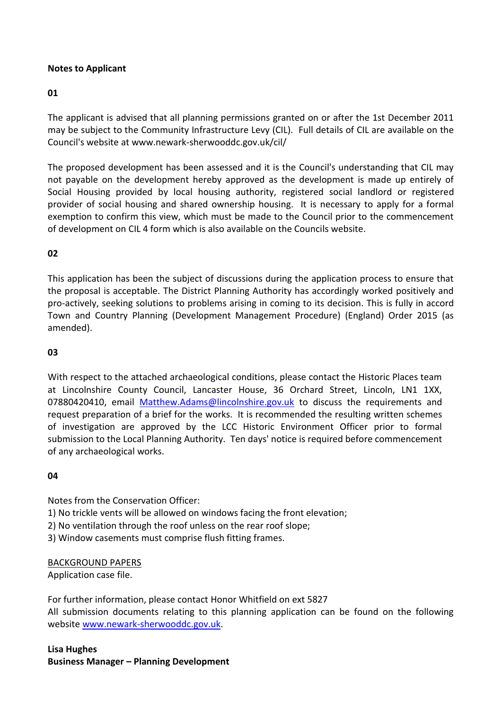## **Notes to Applicant**

#### **01**

The applicant is advised that all planning permissions granted on or after the 1st December 2011 may be subject to the Community Infrastructure Levy (CIL). Full details of CIL are available on the Council's website at www.newark-sherwooddc.gov.uk/cil/

The proposed development has been assessed and it is the Council's understanding that CIL may not payable on the development hereby approved as the development is made up entirely of Social Housing provided by local housing authority, registered social landlord or registered provider of social housing and shared ownership housing. It is necessary to apply for a formal exemption to confirm this view, which must be made to the Council prior to the commencement of development on CIL 4 form which is also available on the Councils website.

## **02**

This application has been the subject of discussions during the application process to ensure that the proposal is acceptable. The District Planning Authority has accordingly worked positively and pro-actively, seeking solutions to problems arising in coming to its decision. This is fully in accord Town and Country Planning (Development Management Procedure) (England) Order 2015 (as amended).

#### **03**

With respect to the attached archaeological conditions, please contact the Historic Places team at Lincolnshire County Council, Lancaster House, 36 Orchard Street, Lincoln, LN1 1XX, 07880420410, email [Matthew.Adams@lincolnshire.gov.uk](mailto:Matthew.Adams@lincolnshire.gov.uk) to discuss the requirements and request preparation of a brief for the works. It is recommended the resulting written schemes of investigation are approved by the LCC Historic Environment Officer prior to formal submission to the Local Planning Authority. Ten days' notice is required before commencement of any archaeological works.

#### **04**

Notes from the Conservation Officer:

- 1) No trickle vents will be allowed on windows facing the front elevation;
- 2) No ventilation through the roof unless on the rear roof slope;
- 3) Window casements must comprise flush fitting frames.

#### BACKGROUND PAPERS

Application case file.

For further information, please contact Honor Whitfield on ext 5827 All submission documents relating to this planning application can be found on the following websit[e www.newark-sherwooddc.gov.uk.](http://www.newark-sherwooddc.gov.uk/)

## **Lisa Hughes Business Manager – Planning Development**